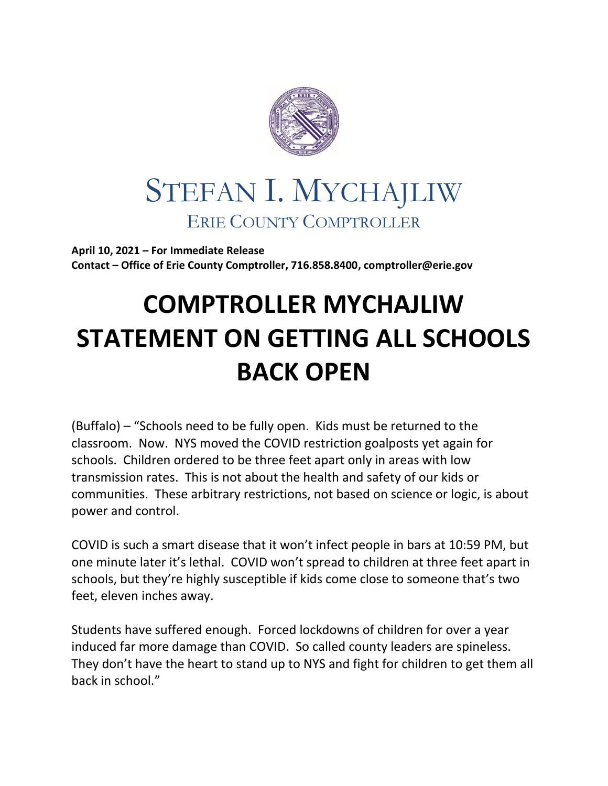

## STEFAN I. MYCHAJLIW ERIE COUNTY COMPTROLLER

**April 10, 2021 – For Immediate Release Contact – Office of Erie County Comptroller, 716.858.8400, comptroller@erie.gov**

## **COMPTROLLER MYCHAJLIW STATEMENT ON GETTING ALL SCHOOLS BACK OPEN**

(Buffalo) – "Schools need to be fully open. Kids must be returned to the classroom. Now. NYS moved the COVID restriction goalposts yet again for schools. Children ordered to be three feet apart only in areas with low transmission rates. This is not about the health and safety of our kids or communities. These arbitrary restrictions, not based on science or logic, is about power and control.

COVID is such a smart disease that it won't infect people in bars at 10:59 PM, but one minute later it's lethal. COVID won't spread to children at three feet apart in schools, but they're highly susceptible if kids come close to someone that's two feet, eleven inches away.

Students have suffered enough. Forced lockdowns of children for over a year induced far more damage than COVID. So called county leaders are spineless. They don't have the heart to stand up to NYS and fight for children to get them all back in school."